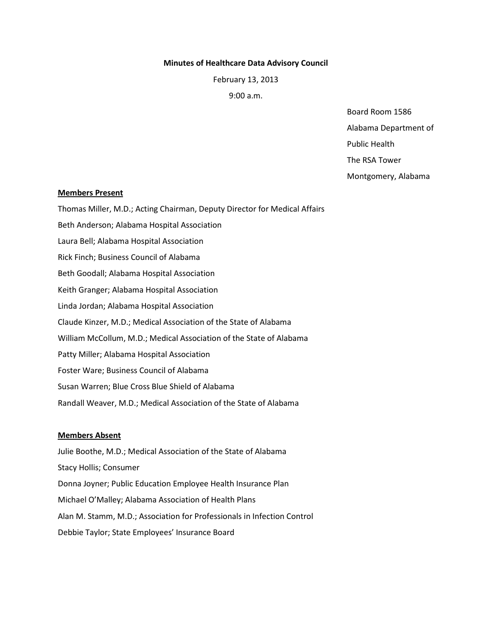### Minutes of Healthcare Data Advisory Council

February 13, 2013

9:00 a.m.

Board Room 1586 Alabama Department of Public Health

The RSA Tower

Montgomery, Alabama

### Members Present

Thomas Miller, M.D.; Acting Chairman, Deputy Director for Medical Affairs Beth Anderson; Alabama Hospital Association Laura Bell; Alabama Hospital Association Rick Finch; Business Council of Alabama Beth Goodall; Alabama Hospital Association Keith Granger; Alabama Hospital Association Linda Jordan; Alabama Hospital Association Claude Kinzer, M.D.; Medical Association of the State of Alabama William McCollum, M.D.; Medical Association of the State of Alabama Patty Miller; Alabama Hospital Association Foster Ware; Business Council of Alabama Susan Warren; Blue Cross Blue Shield of Alabama Randall Weaver, M.D.; Medical Association of the State of Alabama

# Members Absent

Julie Boothe, M.D.; Medical Association of the State of Alabama Stacy Hollis; Consumer Donna Joyner; Public Education Employee Health Insurance Plan Michael O'Malley; Alabama Association of Health Plans Alan M. Stamm, M.D.; Association for Professionals in Infection Control Debbie Taylor; State Employees' Insurance Board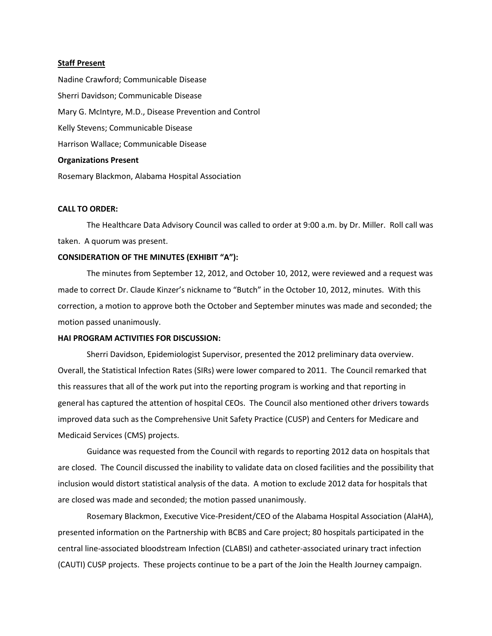#### Staff Present

Nadine Crawford; Communicable Disease Sherri Davidson; Communicable Disease Mary G. McIntyre, M.D., Disease Prevention and Control Kelly Stevens; Communicable Disease Harrison Wallace; Communicable Disease Organizations Present Rosemary Blackmon, Alabama Hospital Association

## CALL TO ORDER:

 The Healthcare Data Advisory Council was called to order at 9:00 a.m. by Dr. Miller. Roll call was taken. A quorum was present.

## CONSIDERATION OF THE MINUTES (EXHIBIT "A"):

 The minutes from September 12, 2012, and October 10, 2012, were reviewed and a request was made to correct Dr. Claude Kinzer's nickname to "Butch" in the October 10, 2012, minutes. With this correction, a motion to approve both the October and September minutes was made and seconded; the motion passed unanimously.

### HAI PROGRAM ACTIVITIES FOR DISCUSSION:

 Sherri Davidson, Epidemiologist Supervisor, presented the 2012 preliminary data overview. Overall, the Statistical Infection Rates (SIRs) were lower compared to 2011. The Council remarked that this reassures that all of the work put into the reporting program is working and that reporting in general has captured the attention of hospital CEOs. The Council also mentioned other drivers towards improved data such as the Comprehensive Unit Safety Practice (CUSP) and Centers for Medicare and Medicaid Services (CMS) projects.

 Guidance was requested from the Council with regards to reporting 2012 data on hospitals that are closed. The Council discussed the inability to validate data on closed facilities and the possibility that inclusion would distort statistical analysis of the data. A motion to exclude 2012 data for hospitals that are closed was made and seconded; the motion passed unanimously.

 Rosemary Blackmon, Executive Vice-President/CEO of the Alabama Hospital Association (AlaHA), presented information on the Partnership with BCBS and Care project; 80 hospitals participated in the central line-associated bloodstream Infection (CLABSI) and catheter-associated urinary tract infection (CAUTI) CUSP projects. These projects continue to be a part of the Join the Health Journey campaign.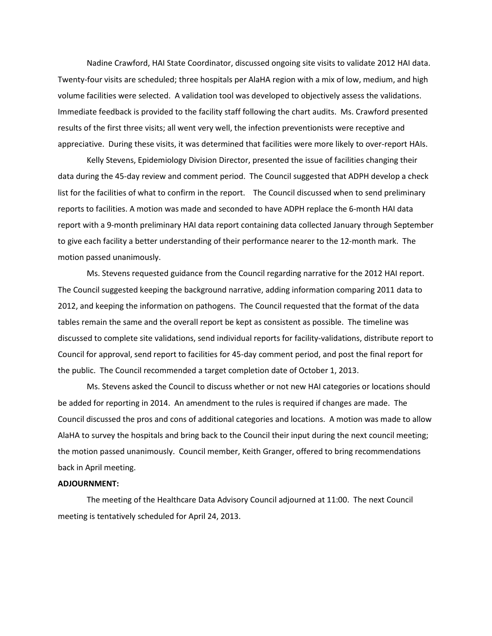Nadine Crawford, HAI State Coordinator, discussed ongoing site visits to validate 2012 HAI data. Twenty-four visits are scheduled; three hospitals per AlaHA region with a mix of low, medium, and high volume facilities were selected. A validation tool was developed to objectively assess the validations. Immediate feedback is provided to the facility staff following the chart audits. Ms. Crawford presented results of the first three visits; all went very well, the infection preventionists were receptive and appreciative. During these visits, it was determined that facilities were more likely to over-report HAIs.

 Kelly Stevens, Epidemiology Division Director, presented the issue of facilities changing their data during the 45-day review and comment period. The Council suggested that ADPH develop a check list for the facilities of what to confirm in the report. The Council discussed when to send preliminary reports to facilities. A motion was made and seconded to have ADPH replace the 6-month HAI data report with a 9-month preliminary HAI data report containing data collected January through September to give each facility a better understanding of their performance nearer to the 12-month mark. The motion passed unanimously.

 Ms. Stevens requested guidance from the Council regarding narrative for the 2012 HAI report. The Council suggested keeping the background narrative, adding information comparing 2011 data to 2012, and keeping the information on pathogens. The Council requested that the format of the data tables remain the same and the overall report be kept as consistent as possible. The timeline was discussed to complete site validations, send individual reports for facility-validations, distribute report to Council for approval, send report to facilities for 45-day comment period, and post the final report for the public. The Council recommended a target completion date of October 1, 2013.

 Ms. Stevens asked the Council to discuss whether or not new HAI categories or locations should be added for reporting in 2014. An amendment to the rules is required if changes are made. The Council discussed the pros and cons of additional categories and locations. A motion was made to allow AlaHA to survey the hospitals and bring back to the Council their input during the next council meeting; the motion passed unanimously. Council member, Keith Granger, offered to bring recommendations back in April meeting.

#### ADJOURNMENT:

 The meeting of the Healthcare Data Advisory Council adjourned at 11:00. The next Council meeting is tentatively scheduled for April 24, 2013.